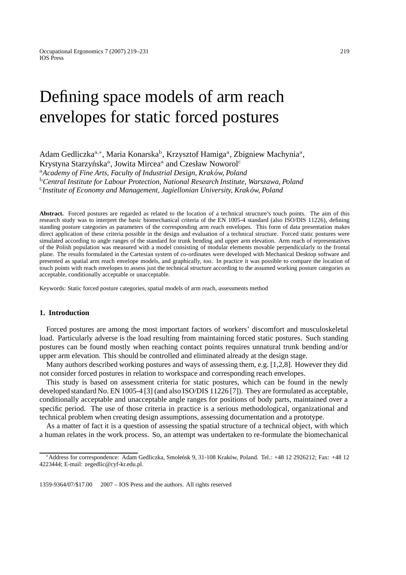## Defining space models of arm reach envelopes for static forced postures

Adam Gedliczka<sup>a,∗</sup>, Maria Konarska<sup>b</sup>, Krzysztof Hamiga<sup>a</sup>, Zbigniew Machynia<sup>a</sup>, Krystyna Starzyńska<sup>a</sup>, Jowita Mircea<sup>a</sup> and Czesław Noworol<sup>c</sup> <sup>a</sup>*Academy of Fine Arts, Faculty of Industrial Design, Krakow, Poland ´* <sup>b</sup>*Central Institute for Labour Protection, National Research Institute, Warszawa, Poland*

<sup>c</sup>*Institute of Economy and Management, Jagiellonian University, Krakow, Poland ´*

**Abstract.** Forced postures are regarded as related to the location of a technical structure's touch points. The aim of this research study was to interpret the basic biomechanical criteria of the EN 1005-4 standard (also ISO/DIS 11226), defining standing posture categories as parameters of the corresponding arm reach envelopes. This form of data presentation makes direct application of these criteria possible in the design and evaluation of a technical structure. Forced static postures were simulated according to angle ranges of the standard for trunk bending and upper arm elevation. Arm reach of representatives of the Polish population was measured with a model consisting of modular elements movable perpendicularly to the frontal plane. The results formulated in the Cartesian system of co-ordinates were developed with Mechanical Desktop software and presented as spatial arm reach envelope models, and graphically, too. In practice it was possible to compare the location of touch points with reach envelopes to assess just the technical structure according to the assumed working posture categories as acceptable, conditionally acceptable or unacceptable.

Keywords: Static forced posture categories, spatial models of arm reach, assessments method

## **1. Introduction**

Forced postures are among the most important factors of workers' discomfort and musculoskeletal load. Particularly adverse is the load resulting from maintaining forced static postures. Such standing postures can be found mostly when reaching contact points requires unnatural trunk bending and/or upper arm elevation. This should be controlled and eliminated already at the design stage.

Many authors described working postures and ways of assessing them, e.g. [1,2,8]. However they did not consider forced postures in relation to workspace and corresponding reach envelopes.

This study is based on assessment criteria for static postures, which can be found in the newly developed standard No. EN 1005-4 [3] (and also ISO/DIS 11226 [7]). They are formulated as acceptable, conditionally acceptable and unacceptable angle ranges for positions of body parts, maintained over a specific period. The use of those criteria in practice is a serious methodological, organizational and technical problem when creating design assumptions, assessing documentation and a prototype.

As a matter of fact it is a question of assessing the spatial structure of a technical object, with which a human relates in the work process. So, an attempt was undertaken to re-formulate the biomechanical

<sup>\*</sup>Address for correspondence: Adam Gedliczka, Smoleńsk 9, 31-108 Kraków, Poland. Tel.: +48 12 2926212; Fax: +48 12 4223444; E-mail: zegedlic@cyf-kr.edu.pl.